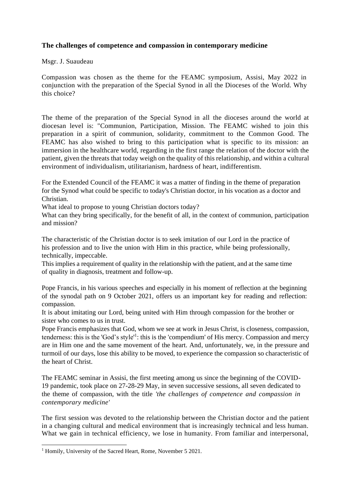## **The challenges of competence and compassion in contemporary medicine**

## Msgr. J. Suaudeau

Compassion was chosen as the theme for the FEAMC symposium, Assisi, May 2022 in conjunction with the preparation of the Special Synod in all the Dioceses of the World. Why this choice?

The theme of the preparation of the Special Synod in all the dioceses around the world at diocesan level is: "Communion, Participation, Mission. The FEAMC wished to join this preparation in a spirit of communion, solidarity, commitment to the Common Good. The FEAMC has also wished to bring to this participation what is specific to its mission: an immersion in the healthcare world, regarding in the first range the relation of the doctor with the patient, given the threats that today weigh on the quality of this relationship, and within a cultural environment of individualism, utilitarianism, hardness of heart, indifferentism.

For the Extended Council of the FEAMC it was a matter of finding in the theme of preparation for the Synod what could be specific to today's Christian doctor, in his vocation as a doctor and Christian.

What ideal to propose to young Christian doctors today?

What can they bring specifically, for the benefit of all, in the context of communion, participation and mission?

The characteristic of the Christian doctor is to seek imitation of our Lord in the practice of his profession and to live the union with Him in this practice, while being professionally, technically, impeccable.

This implies a requirement of quality in the relationship with the patient, and at the same time of quality in diagnosis, treatment and follow-up.

Pope Francis, in his various speeches and especially in his moment of reflection at the beginning of the synodal path on 9 October 2021, offers us an important key for reading and reflection: compassion.

It is about imitating our Lord, being united with Him through compassion for the brother or sister who comes to us in trust.

Pope Francis emphasizes that God, whom we see at work in Jesus Christ, is closeness, compassion, tenderness: this is the 'God's style'<sup>1</sup>: this is the 'compendium' of His mercy. Compassion and mercy are in Him one and the same movement of the heart. And, unfortunately, we, in the pressure and turmoil of our days, lose this ability to be moved, to experience the compassion so characteristic of the heart of Christ.

The FEAMC seminar in Assisi, the first meeting among us since the beginning of the COVID-19 pandemic, took place on 27-28-29 May, in seven successive sessions, all seven dedicated to the theme of compassion, with the title *'the challenges of competence and compassion in contemporary medicine'*

The first session was devoted to the relationship between the Christian doctor and the patient in a changing cultural and medical environment that is increasingly technical and less human. What we gain in technical efficiency, we lose in humanity. From familiar and interpersonal,

<sup>&</sup>lt;sup>1</sup> Homily, University of the Sacred Heart, Rome, November 5 2021.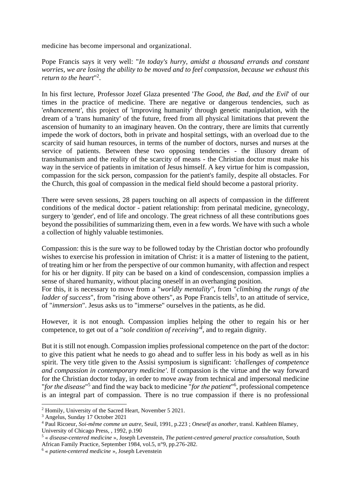medicine has become impersonal and organizational.

Pope Francis says it very well: "*In today's hurry, amidst a thousand errands and constant worries, we are losing the ability to be moved and to feel compassion, because we exhaust this return to the heart*" 2 .

In his first lecture, Professor Jozef Glaza presented '*The Good, the Bad, and the Evil*' of our times in the practice of medicine. There are negative or dangerous tendencies, such as '*enhancement'*, this project of 'improving humanity' through genetic manipulation, with the dream of a 'trans humanity' of the future, freed from all physical limitations that prevent the ascension of humanity to an imaginary heaven. On the contrary, there are limits that currently impede the work of doctors, both in private and hospital settings, with an overload due to the scarcity of said human resources, in terms of the number of doctors, nurses and nurses at the service of patients. Between these two opposing tendencies - the illusory dream of transhumanism and the reality of the scarcity of means - the Christian doctor must make his way in the service of patients in imitation of Jesus himself. A key virtue for him is compassion, compassion for the sick person, compassion for the patient's family, despite all obstacles. For the Church, this goal of compassion in the medical field should become a pastoral priority.

There were seven sessions, 28 papers touching on all aspects of compassion in the different conditions of the medical doctor - patient relationship: from perinatal medicine, gynecology, surgery to 'gender', end of life and oncology. The great richness of all these contributions goes beyond the possibilities of summarizing them, even in a few words. We have with such a whole a collection of highly valuable testimonies.

Compassion: this is the sure way to be followed today by the Christian doctor who profoundly wishes to exercise his profession in imitation of Christ: it is a matter of listening to the patient, of treating him or her from the perspective of our common humanity, with affection and respect for his or her dignity. If pity can be based on a kind of condescension, compassion implies a sense of shared humanity, without placing oneself in an overhanging position.

For this, it is necessary to move from a "*worldly mentality"*, from "*climbing the rungs of the ladder of success*", from "rising above others", as Pope Francis tells<sup>3</sup>, to an attitude of service, of "*immersion*". Jesus asks us to "immerse" ourselves in the patients, as he did.

However, it is not enough. Compassion implies helping the other to regain his or her competence, to get out of a "*sole condition of receiving'<sup>4</sup>* , and to regain dignity.

But it is still not enough. Compassion implies professional competence on the part of the doctor: to give this patient what he needs to go ahead and to suffer less in his body as well as in his spirit. The very title given to the Assisi symposium is significant: *'challenges of competence and compassion in contemporary medicine'*. If compassion is the virtue and the way forward for the Christian doctor today, in order to move away from technical and impersonal medicine "*for the disease*" 5 and find the way back to medicine "*for the patient*" 6 , professional competence is an integral part of compassion. There is no true compassion if there is no professional

<sup>2</sup> Homily, University of the Sacred Heart, November 5 2021.

<sup>3</sup> Angelus, Sunday 17 October 2021

<sup>4</sup> Paul Ricoeur, *Soi-même comme un autre*, Seuil, 1991, p.223 ; *Oneself as another*, transl. Kathleen Blamey, University of Chicago Press, , 1992, p.190

<sup>5</sup> « *disease-centered medicine* », Joseph Levenstein, *The patient-centred general practice consultation*, South African Family Practice, September 1984, vol.5, n°9, pp.276-282.

<sup>6</sup> « *patient-centered medicine* », Joseph Levenstein